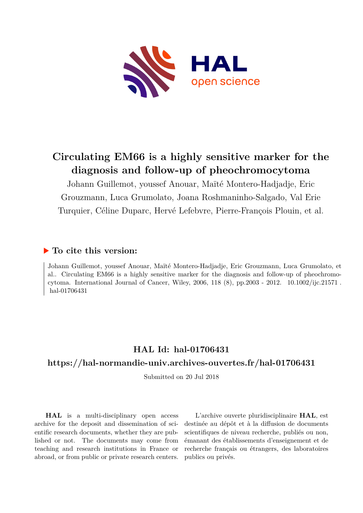

# **Circulating EM66 is a highly sensitive marker for the diagnosis and follow-up of pheochromocytoma**

Johann Guillemot, youssef Anouar, Maïté Montero-Hadjadje, Eric Grouzmann, Luca Grumolato, Joana Roshmaninho-Salgado, Val Erie Turquier, Céline Duparc, Hervé Lefebvre, Pierre-François Plouin, et al.

# **To cite this version:**

Johann Guillemot, youssef Anouar, Maïté Montero-Hadjadje, Eric Grouzmann, Luca Grumolato, et al.. Circulating EM66 is a highly sensitive marker for the diagnosis and follow-up of pheochromocytoma. International Journal of Cancer, Wiley, 2006, 118  $(8)$ , pp.2003 - 2012. 10.1002/ijc.21571. hal-01706431

# **HAL Id: hal-01706431**

# **<https://hal-normandie-univ.archives-ouvertes.fr/hal-01706431>**

Submitted on 20 Jul 2018

**HAL** is a multi-disciplinary open access archive for the deposit and dissemination of scientific research documents, whether they are published or not. The documents may come from teaching and research institutions in France or abroad, or from public or private research centers.

L'archive ouverte pluridisciplinaire **HAL**, est destinée au dépôt et à la diffusion de documents scientifiques de niveau recherche, publiés ou non, émanant des établissements d'enseignement et de recherche français ou étrangers, des laboratoires publics ou privés.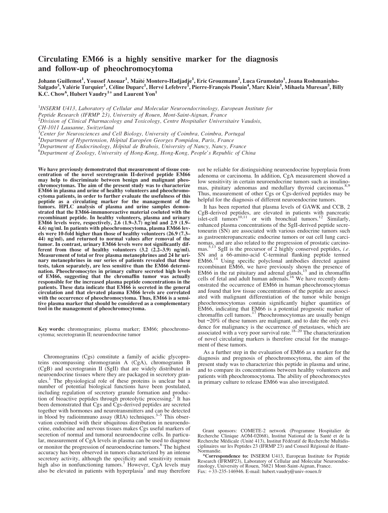# Circulating EM66 is a highly sensitive marker for the diagnosis and follow-up of pheochromocytoma

Johann Guillemot<sup>1</sup>, Youssef Anouar<sup>1</sup>, Maïté Montero-Hadjadje<sup>1</sup>, Eric Grouzmann<sup>2</sup>, Luca Grumolato<sup>1</sup>, Joana Roshmaninho-Salgado<sup>3</sup>, Valérie Turquier<sup>1</sup>, Céline Duparc<sup>1</sup>, Hervé Lefebvre<sup>I</sup>, Pierre-François Plouin<sup>4</sup>, Marc Klein<sup>5</sup>, Mihaela Muresan<sup>5</sup>, Billy K.C. Chow $^6$ , Hubert Vaudry $^{1\ast}$  and Laurent Yon $^1$ 

<sup>1</sup>INSERM U413, Laboratory of Cellular and Molecular Neuroendocrinology, European Institute for Peptide Research (IFRMP 23), University of Rouen, Mont-Saint-Aignan, France  ${}^{2}$ Division of Clinical Pharmacology and Toxicology, Centre Hospitalier Universitaire Vaudois, CH-1011 Lausanne, Switzerland <sup>3</sup>Center for Neurosciences and Cell Biology, University of Coimbra, Coimbra, Portugal

<sup>4</sup> Department of Hypertension, Hôpital Européen Georges Pompidou, Paris, France<br><sup>5</sup> Department of Endocrinology, Hôpital de Brabois, University of Nancy Nancy, E  ${}^{5}$ Department of Endocrinology, Hôpital de Brabois, University of Nancy, Nancy, France

Department of Zoology, University of Hong-Kong, Hong-Kong, People's Republic of China

We have previously demonstrated that measurement of tissue concentration of the novel secretogranin II-derived peptide EM66 may help to discriminate between benign and malignant pheochromocytomas. The aim of the present study was to characterize EM66 in plasma and urine of healthy volunteers and pheochromocytoma patients, in order to further evaluate the usefulness of this peptide as a circulating marker for the management of the tumors. HPLC analysis of plasma and urine samples demonstrated that the EM66-immunoreactive material coeluted with the recombinant peptide. In healthy volunteers, plasma and urinary EM66 levels were, respectively, 2.6 (1.9–3.7) ng/ml and 2.9 (1.9– 4.6) ng/ml. In patients with pheochromocytoma, plasma EM66 levels were 10-fold higher than those of healthy volunteers (26.9 (7.3– 44) ng/ml), and returned to normal values after removal of the tumor. In contrast, urinary EM66 levels were not significantly different from those of healthy volunteers  $(3.2 \text{ } (2.2-3.9) \text{ } \text{ng/ml})$ . Measurement of total or free plasma metanephrines and 24 hr urinary metanephrines in our series of patients revealed that these tests, taken separately, are less sensitive than the EM66 determination. Pheochromocytes in primary culture secreted high levels of EM66, suggesting that the chromaffin tumor was actually responsible for the increased plasma peptide concentrations in the patients. These data indicate that EM66 is secreted in the general circulation and that elevated plasma EM66 levels are correlated with the occurrence of pheochromocytoma. Thus, EM66 is a sensitive plasma marker that should be considered as a complementary tool in the management of pheochromocytoma.

Key words: chromogranins; plasma marker; EM66; pheochromocytoma; secretogranin II; neuroendocrine tumor

Chromogranins (Cgs) constitute a family of acidic glycoproteins encompassing chromogranin A (CgA), chromogranin B (CgB) and secretogranin II (SgII) that are widely distributed in neuroendocrine tissues where they are packaged in secretory granules.<sup>1</sup> The physiological role of these proteins is unclear but a number of potential biological functions have been postulated, including regulation of secretory granule formation and production of bioactive peptides through proteolytic processing.<sup>2</sup> It has been demonstrated that Cgs and Cgs-derived peptides are secreted together with hormones and neurotransmitters and can be detected in blood by radioimmuno assay (RIA) techniques. $3-5$  This observation combined with their ubiquitous distribution in neuroendocrine, endocrine and nervous tissues makes Cgs useful markers of secretion of normal and tumoral neuroendocrine cells. In particular, measurement of CgA levels in plasma can be used to diagnose or monitor the progression of neuroendocrine tumors.<sup>6</sup> The highest accuracy has been observed in tumors characterized by an intense secretory activity, although the specificity and sensitivity remain<br>high also in nonfunctioning tumors.<sup>7</sup> However, CgA levels may also be elevated in patients with hyperplasia<sup>3</sup> and may therefore

not be reliable for distinguishing neuroendocrine hyperplasia from adenoma or carcinoma. In addition, CgA measurement showed a low sensitivity in certain neuroendocrine tumors such as insulino-<br>mas, pituitary adenomas and medullary thyroid carcinomas.<sup>8,9</sup> Thus, measurement of other Cgs or Cgs-derived peptides may be helpful for the diagnosis of different neuroendocrine tumors.

It has been reported that plasma levels of GAWK and CCB, 2 CgB-derived peptides, are elevated in patients with pancreatic islet-cell tumors<sup>10,11</sup> or with bronchial tumors.<sup>12</sup> Similarly, enhanced plasma concentrations of the SgII-derived peptide secretoneurin (SN) are associated with various endocrine tumors such as gastroenteropancreatic endocrine tumors or oat cell lung carcinomas, and are also related to the progression of prostatic carcinomas.<sup>5,13</sup> SgII is the precursor of 2 highly conserved peptides, *i.e.* SN and a 66-amino-acid C-terminal flanking peptide termed EM66.<sup>14</sup> Using specific polyclonal antibodies directed against recombinant EM66, we have previously shown the presence of EM66 in the rat pituitary and adrenal glands, $15$  and in chromaffin cells of fetal and adult human adrenals.<sup>16</sup> We have recently demonstrated the occurrence of EM66 in human pheochromocytomas and found that low tissue concentrations of the peptide are associated with malignant differentiation of the tumor while benign pheochromocytomas contain significantly higher quantities of EM66, indicating that EM66 is a potential prognostic marker of chromaffin cell tumors.<sup>17</sup> Pheochromocytomas are usually benign but ~20% of these tumors are malignant, and to date the only evidence for malignancy is the occurrence of metastases, which are associated with a very poor survival rate.<sup>18–20</sup> The characterization of novel circulating markers is therefore crucial for the management of these tumors.

As a further step in the evaluation of EM66 as a marker for the diagnosis and prognosis of pheochromocytoma, the aim of the present study was to characterize this peptide in plasma and urine, and to compare its concentrations between healthy volunteers and patients with pheochromocytoma. The ability of pheochromocytes in primary culture to release EM66 was also investigated.

Grant sponsors: COMETE-2 network (Programme Hospitalier de Recherche Clinique AOM-02068), Institut National de la Sante et de la Recherche Médicale (Unité 413), Institut Fédératif de Recherche Multidisciplinaires sur les Peptides 23 (IFRMP 23) and Conseil Regional de Haute-Normandie.

\*Correspondence to: INSERM U413, European Institute for Peptide Research (IFRMP23), Laboratory of Cellular and Molecular Neuroendocrinology, University of Rouen, 76821 Mont-Saint-Aignan, France. Fax: +33-235-146946. E-mail: hubert.vaudry@univ-rouen.fr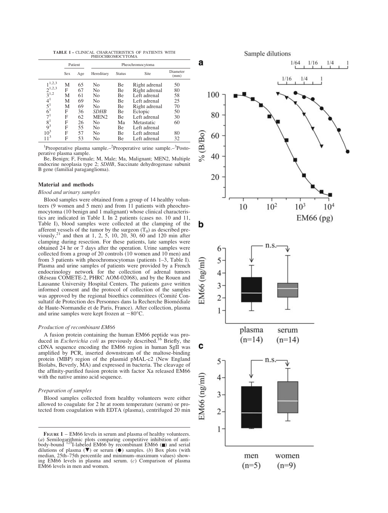TABLE I – CLINICAL CHARACTERISTICS OF PATIENTS WITH PHEOCHROMOCYTOMA

|                   |     | Patient | Pheochromocytoma |        |               |                  |
|-------------------|-----|---------|------------------|--------|---------------|------------------|
|                   | Sex | Age     | Hereditary       | Status | Site          | Diameter<br>(mm) |
| $1^{1,2,3}$       | M   | 65      | No               | Be     | Right adrenal | 50               |
| $2^{1,2,3}$       | F   | 67      | No               | Be     | Right adrenal | 80               |
| $3^{1,2}$         | М   | 61      | No               | Be     | Left adrenal  | 58               |
|                   | М   | 69      | No               | Be     | Left adrenal  | 25               |
| $\frac{4^1}{5^1}$ | М   | 69      | No               | Be     | Right adrenal | 70               |
| 6 <sup>1</sup>    | F   | 36      | <i>SDHB</i>      | Be     | Ectopic       | 50               |
| $7^1$             | F   | 62      | MEN <sub>2</sub> | Be     | Left adrenal  | 30               |
| $8^1$             | F   | 26      | No               | Ma     | Metastatic    | 60               |
| $9^3$             | F   | 55      | No               | Вe     | Left adrenal  |                  |
| $10^3$            | F   | 57      | No               | Be     | Left adrenal  | 80               |
| $11^3$            | F   | 53      | No               | Be     | Left adrenal  | 32               |

<sup>1</sup>Preoperative plasma sample.<sup>2</sup>Preoperative urine sample.<sup>3</sup>Postoperative plasma sample.

Be, Benign; F, Female; M, Male; Ma, Malignant; MEN2, Multiple endocrine neoplasia type 2; SDHB, Succinate dehydrogenase subunit B gene (familial paraganglioma).

## Material and methods

#### Blood and urinary samples

Blood samples were obtained from a group of 14 healthy volunteers (9 women and 5 men) and from 11 patients with pheochromocytoma (10 benign and 1 malignant) whose clinical characteristics are indicated in Table I. In 2 patients (cases no. 10 and 11, Table I), blood samples were collected at the clamping of the afferent vessels of the tumor by the surgeon  $(T_0)$  as described pre-<br>viously,<sup>21</sup> and then at 1, 2, 5, 10, 20, 30, 60 and 120 min after clamping during resection. For these patients, late samples were obtained 24 hr or 7 days after the operation. Urine samples were collected from a group of 20 controls (10 women and 10 men) and from 3 patients with pheochromocytomas (patients 1–3, Table I). Plasma and urine samples of patients were provided by a French endocrinology network for the collection of adrenal tumors (Reseau COMETE-2, PHRC AOM-02068), and by the Rouen and Lausanne University Hospital Centers. The patients gave written informed consent and the protocol of collection of the samples was approved by the regional bioethics committees (Comité Consultatif de Protection des Personnes dans la Recherche Biomediale de Haute-Normandie et de Paris, France). After collection, plasma and urine samples were kept frozen at  $-80^{\circ}$ C.

#### Production of recombinant EM66

A fusion protein containing the human EM66 peptide was produced in *Escherichia coli* as previously described.<sup>16</sup> Briefly, the cDNA sequence encoding the EM66 region in human SgII was amplified by PCR, inserted downstream of the maltose-binding protein (MBP) region of the plasmid pMAL-c2 (New England Biolabs, Beverly, MA) and expressed in bacteria. The cleavage of the affinity-purified fusion protein with factor Xa released EM66 with the native amino acid sequence.

#### Preparation of samples

Blood samples collected from healthy volunteers were either allowed to coagulate for 2 hr at room temperature (serum) or protected from coagulation with EDTA (plasma), centrifuged 20 min

Sample dilutions a  $1/64$  $1/16$  $1/4$ 16 100 80 % (B/Bo) 60 40 20  $10<sup>3</sup>$  $10<sup>2</sup>$  $10<sup>4</sup>$ 10 EM66 (pg) b n.s. 6 5 EM66 (ng/ml 4 3  $\overline{c}$ 1 plasma serum  $(n=14)$  $(n=14)$ с n.s 5  $EM66$  (ng/ml) 4 3  $2 \cdot$ 1

men

 $(n=5)$ 

women

 $(n=9)$ 

FIGURE  $1$  – EM66 levels in serum and plasma of healthy volunteers. (*a*) Semilogarithmic plots comparing competitive inhibition of anti-<br>body-bound <sup>125</sup>I-labeled EM66 by recombinant EM66 ( $\blacksquare$ ) and serial dilutions of plasma  $(\nabla)$  or serum  $(\bullet)$  samples. (b) Box plots (with median, 25th–75th percentile and minimum–maximum values) showing EM66 levels in plasma and serum. (c) Comparison of plasma EM66 levels in men and women.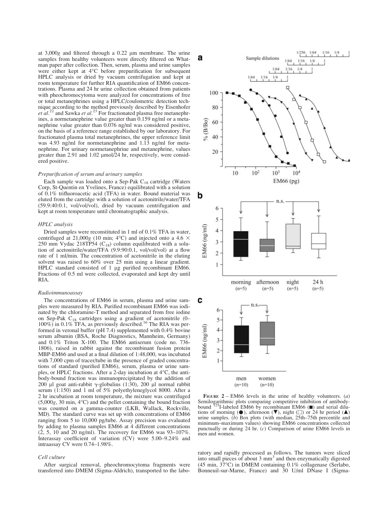at  $3,000g$  and filtered through a 0.22  $\mu$ m membrane. The urine samples from healthy volunteers were directly filtered on Whatman paper after collection. Then, serum, plasma and urine samples were either kept at 4°C before prepurification for subsequent HPLC analysis or dried by vacuum centrifugation and kept at room temperature for further RIA quantification of EM66 concentrations. Plasma and 24 hr urine collection obtained from patients with pheochromocytoma were analyzed for concentrations of free or total metanephrines using a HPLC/coulometric detection technique according to the method previously described by Eisenhofer et  $al$ .<sup>22</sup> and Sawka et  $al$ .<sup>23</sup> For fractionated plasma free metanephrines, a normetanephrine value greater than 0.159 ng/ml or a metanephrine value greater than 0.076 ng/ml was considered positive, on the basis of a reference range established by our laboratory. For fractionated plasma total metanephrines, the upper reference limit was 4.93 ng/ml for normetanephrine and 1.13 ng/ml for metanephrine. For urinary normetanephrine and metanephrine, values greater than 2.91 and 1.02 µmol/24 hr, respectively, were considered positive.

#### Prepurification of serum and urinary samples

Each sample was loaded onto a Sep-Pak C<sub>18</sub> cartridge (Waters Corp, St-Quentin en Yvelines, France) equilibrated with a solution of 0.1% trifluoroacetic acid (TFA) in water. Bound material was eluted from the cartridge with a solution of acetonitrile/water/TFA (59.9:40:0.1, vol/vol/vol), dried by vacuum centrifugation and kept at room temperature until chromatographic analysis.

#### HPLC analysis

Dried samples were reconstituted in 1 ml of 0.1% TFA in water, centrifuged at 21,000g (10 min; 4 $\degree$ C) and injected onto a 4.6  $\times$ 250 mm Vydac 218TP54  $(C_{18})$  column equilibrated with a solution of acetonitrile/water/TFA (9.9:90:0.1, vol/vol/vol) at a flow rate of 1 ml/min. The concentration of acetonitrile in the eluting solvent was raised to 60% over 25 min using a linear gradient. HPLC standard consisted of 1 µg purified recombinant EM66. Fractions of 0.5 ml were collected, evaporated and kept dry until RIA.

#### Radioimmunoassay

The concentrations of EM66 in serum, plasma and urine samples were measured by RIA. Purified recombinant EM66 was iodinated by the chloramine-T method and separated from free iodine on Sep-Pak  $C_{18}$  cartridges using a gradient of acetonitrile (0–100%) in 0.1% TFA, as previously described.<sup>16</sup> The RIA was performed in veronal buffer (pH 7.4) supplemented with 0.4% bovine serum albumin (BSA, Roche Diagnostics, Mannheim, Germany) and 0.1% Triton X-100. The EM66 antiserum (code no. 736- 1806), raised in rabbit against the recombinant fusion protein MBP-EM66 and used at a final dilution of 1:48,000, was incubated with 7,000 cpm of tracer/tube in the presence of graded concentrations of standard (purified EM66), serum, plasma or urine samples, or HPLC fractions. After a 2-day incubation at  $4^{\circ}$ C, the antibody-bound fraction was immunoprecipitated by the addition of 200 µl goat anti-rabbit  $\gamma$ -globulins (1:30), 200 µl normal rabbit serum (1:150) and 1 ml of 5% polyethyleneglycol 8000. After a 2 hr incubation at room temperature, the mixture was centrifuged  $(5,000g, 30 \text{ min}, 4^{\circ}\text{C})$  and the pellet containing the bound fraction was counted on a gamma-counter (LKB, Wallack, Rockville, MD). The standard curve was set up with concentrations of EM66 ranging from 5 to 10,000 pg/tube. Assay precision was evaluated by adding to plasma samples EM66 at 4 different concentrations (2, 5, 10 and 20 ng/ml). The recovery for EM66 was 93–107%. Interassay coefficient of variation (CV) were 5.00–9.24% and intraassay CV were 0.74–1.98%.

#### Cell culture

After surgical removal, pheochromocytoma fragments were transferred into DMEM (Sigma-Aldrich), transported to the labo-



FIGURE  $2 - EM66$  levels in the urine of healthy volunteers. (*a*) Semilogarithmic plots comparing competitive inhibition of antibody-<br>bound <sup>125</sup>I-labeled EM66 by recombinant EM66 (n) and serial dilutions of morning ( $\bullet$ ), afternoon ( $\nabla$ ), night ( $\square$ ) or 24 hr period ( $\blacktriangle$ ) urine samples. (b) Box plots (with median, 25th–75th percentile and minimum–maximum values) showing EM66 concentrations collected punctually or during 24 hr. (c) Comparison of urine EM66 levels in men and women.

ratory and rapidly processed as follows. The tumors were sliced into small pieces of about 3 mm<sup>3</sup> and then enzymatically digested (45 min, 37C) in DMEM containing 0.1% collagenase (Serlabo, Bonneuil-sur-Marne, France) and 30 U/ml DNase I (Sigma-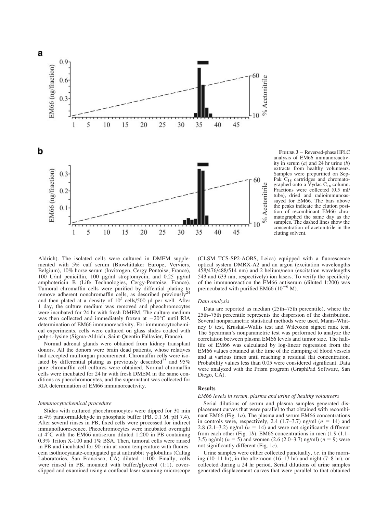

FIGURE 3 – Reversed-phase HPLC analysis of EM66 immunoreactivity in serum  $(a)$  and 24 hr urine  $(b)$ extracts from healthy volunteers. Samples were prepurified on Sep-Pak  $C_{18}$  cartridges and chromatographed onto a  $\bar{V}$ ydac C<sub>18</sub> column. Fractions were collected (0.5 ml/ tube), dried and radioimmunoassayed for EM66. The bars above the peaks indicate the elution position of recombinant EM66 chromatographed the same day as the samples. The dashed lines show the concentration of acetonitrile in the eluting solvent.

Aldrich). The isolated cells were cultured in DMEM supplemented with 5% calf serum (Biowhittaker Europe, Verviers, Belgium), 10% horse serum (Invitrogen, Cergy Pontoise, France), 100 U/ml penicillin, 100 μg/ml streptomycin, and 0.25 μg/ml amphotericin B (Life Technologies, Cergy-Pontoise, France). Tumoral chromaffin cells were purified by diffential plating to remove adherent nonchromaffin cells, as described previously<sup>24</sup> and then plated at a density of  $10^5$  cells/500 µl per well. After 1 day, the culture medium was removed and pheochromocytes were incubated for 24 hr with fresh DMEM. The culture medium was then collected and immediately frozen at  $-20^{\circ}$ C until RIA determination of EM66 immunoreactivity. For immunocytochemical experiments, cells were cultured on glass slides coated with poly-L-lysine (Sigma-Aldrich, Saint-Quentin Fallavier, France).

Normal adrenal glands were obtained from kidney transplant donors. All the donors were brain dead patients, whose relatives had accepted multiorgan procurement. Chromaffin cells were iso-<br>lated by differential plating as previously described<sup>25</sup> and 95% pure chromaffin cell cultures were obtained. Normal chromaffin cells were incubated for 24 hr with fresh DMEM in the same conditions as pheochromocytes, and the supernatant was collected for RIA determination of EM66 immunoreactivity.

#### Immunocytochemical procedure

Slides with cultured pheochromocytes were dipped for 30 min in 4% paraformaldehyde in phosphate buffer (PB, 0.1 M, pH 7.4). After several rinses in PB, fixed cells were processed for indirect immunofluorescence. Pheochromocytes were incubated overnight at  $4^{\circ}$ C with the EM66 antiserum diluted 1:200 in PB containing 0.3% Triton X-100 and 1% BSA. Then, tumoral cells were rinsed in PB and incubated for 90 min at room temperature with fluorescein isothiocyanate-conjugated goat antirabbit  $\gamma$ -globulins (Caltag Laboratories, San Francisco, CA) diluted 1:100. Finally, cells were rinsed in PB, mounted with buffer/glycerol (1:1), coverslipped and examined using a confocal laser scanning microscope

(CLSM TCS-SP2-AOBS, Leica) equipped with a fluorescence optical system DMRX-A2 and an argon (excitation wavelengths 458/476/488/514 nm) and 2 helium/neon (excitation wavelengths 543 and 633 nm, respectively) ion lasers. To verify the specificity of the immunoreaction the EM66 antiserum (diluted 1:200) was preincubated with purified EM66  $(10^{-6}$  M).

#### Data analysis

Data are reported as median (25th–75th percentile), where the 25th–75th percentile represents the dispersion of the distribution. Several nonparametric statistical methods were used, Mann–Whitney U test, Kruskal–Wallis test and Wilcoxon signed rank test. The Spearman's nonparametric test was performed to analyze the correlation between plasma EM66 levels and tumor size. The halflife of EM66 was calculated by log-linear regression from the EM66 values obtained at the time of the clamping of blood vessels and at various times until reaching a residual flat concentration. Probability values less than 0.05 were considered significant. Data were analyzed with the Prism program (GraphPad Software, San Diego, CA).

# Results

## EM66 levels in serum, plasma and urine of healthy volunteers

Serial dilutions of serum and plasma samples generated displacement curves that were parallel to that obtained with recombinant EM66 (Fig. 1a). The plasma and serum EM66 concentrations in controls were, respectively, 2.4 (1.7–3.7) ng/ml ( $n = 14$ ) and 2.8 (2.1–3.2) ng/ml  $(n = 14)$  and were not significantly different from each other (Fig. 1b). EM66 concentrations in men (1.9 (1.1– 3.5) ng/ml) ( $n = 5$ ) and women (2.6 (2.0–3.7) ng/ml) ( $n = 9$ ) were not significantly different (Fig. 1c).

Urine samples were either collected punctually, i.e. in the morning (10–11 hr), in the afternoon (16–17 hr) and night (7–8 hr), or collected during a 24 hr period. Serial dilutions of urine samples generated displacement curves that were parallel to that obtained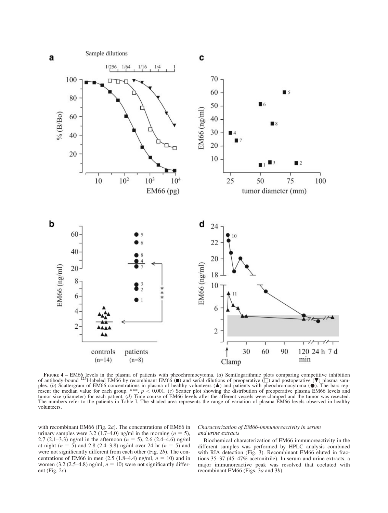

FIGURE 4 – EM66 levels in the plasma of patients with pheochromocytoma. (a) Semilogarithmic plots comparing competitive inhibition<br>of antibody-bound <sup>125</sup>I-labeled EM66 by recombinant EM66 ( $\blacksquare$ ) and serial dilutions of ples. (b) Scattergram of EM66 concentrations in plasma of healthy volunteers ( $\triangle$ ) and patients with pheochromocytoma ( $\bullet$ ). The bars rep-<br>resent the median value for each group. \*\*\*,  $p < 0.001$ . (c) Scatter plot showin resent the median value for each group. \*\*\*,  $p < 0.001$ . (c) Scatter plot showing the distribution of preoperative plasma EM66 levels and tumor size (diameter) for each patient. (d) Time course of EM66 levels after the afferent vessels were clamped and the tumor was resected. The numbers refer to the patients in Table I. The shaded area represents the range of variation of plasma EM66 levels observed in healthy volunteers.

with recombinant EM66 (Fig. 2a). The concentrations of EM66 in urinary samples were 3.2 (1.7–4.0) ng/ml in the morning  $(n = 5)$ , 2.7 (2.1–3.3) ng/ml in the afternoon  $(n = 5)$ , 2.6 (2.4–4.6) ng/ml at night ( $n = 5$ ) and 2.8 (2.4–3.8) ng/ml over 24 hr ( $n = 5$ ) and were not significantly different from each other (Fig. 2b). The concentrations of EM66 in men  $(2.5 (1.8-4.4)$  ng/ml,  $n = 10)$  and in women (3.2 (2.5–4.8) ng/ml,  $n = 10$ ) were not significantly different (Fig. 2c).

## Characterization of EM66-immunoreactivity in serum and urine extracts

Biochemical characterization of EM66 immunoreactivity in the different samples was performed by HPLC analysis combined with RIA detection (Fig. 3). Recombinant EM66 eluted in fractions 35–37 (45–47% acetonitrile). In serum and urine extracts, a major immunoreactive peak was resolved that coeluted with recombinant EM66 (Figs. 3a and 3b).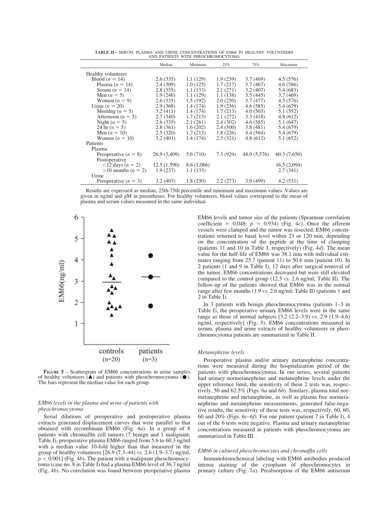TABLE II – SERUM, PLASMA AND URINE CONCENTRATIONS OF EM66 IN HEALTHY VOLUNTEERS AND PATIENTS WITH PHEOCHROMOCYTOMA

|                                           | Median       | Minimum     | 25%       | 75%          | Maximum      |
|-------------------------------------------|--------------|-------------|-----------|--------------|--------------|
| Healthy volunteers                        |              |             |           |              |              |
| Blood $(n = 14)$                          | 2.6(335)     | 1.1(129)    | 1.9(239)  | 3.7(469)     | 4.5(576)     |
| Plasma $(n = 14)$                         | 2.4(309)     | 1.0(125)    | 1.7(217)  | 3.7(467)     | 4.6(586)     |
| Serum $(n = 14)$                          | 2.8(355)     | 1.1(133)    | 2.1(271)  | 3.2(407)     | 5.4 (683)    |
| Men $(n = 5)$                             | 1.9(246)     | 1.1(129)    | 1.1(138)  | 3.5(445)     | 3.7(469)     |
| Women $(n = 9)$                           | 2.6(335)     | 1.5(192)    | 2.0(250)  | 3.7(477)     | 4.5(576)     |
| Urine $(n = 20)$                          | 2.9(368)     | 1.4(174)    | 1.9(236)  | 4.6(585)     | 5.4 (679)    |
| Morning $(n = 5)$                         | 3.2(411)     | 1.4(174)    | 1.7(213)  | 4.0(503)     | 5.1 (552)    |
| Afternoon ( $n = 5$ )                     | 2.7(340)     | 1.7(213)    | 2.1(272)  | 3.3(418)     | 4.8(612)     |
| Night $(n = 5)$                           | 2.6(335)     | 2.1(261)    | 2.4(302)  | 4.6(585)     | 5.1(647)     |
| 24 hr $(n = 5)$                           | 2.8(361)     | 1.6(202)    | 2.4(300)  | 3.8(481)     | 5.4 (679)    |
| Men $(n = 10)$                            | 2.5(320)     | 1.7(213)    | 1.8(226)  | 4.4 (564)    | 5.4 (679)    |
| Women $(n = 10)$                          | 3.2(401)     | 1.4(174)    | 2.5(321)  | 4.8(612)     | 5.1 (652)    |
| Patients                                  |              |             |           |              |              |
| Plasma                                    |              |             |           |              |              |
| Preoperative $(n = 8)$                    | 26.9 (3,409) | 5.6 (710)   | 7.3 (929) | 44.0 (5,576) | 60.3 (7,650) |
| Postoperative                             |              |             |           |              |              |
| $\langle 12 \text{ days} (n = 2) \rangle$ | 12.5(1,590)  | 8.6 (1,086) |           |              | 16.5(2,094)  |
| $>10$ months ( $n = 2$ )                  | 1.9(237)     | 1.1(133)    |           |              | 2.7(341)     |
| Urine                                     |              |             |           |              |              |
| Preoperative $(n = 3)$                    | 3.2(403)     | 1.8(230)    | 2.2(273)  | 3.9(499)     | 4.2(531)     |
|                                           |              |             |           |              |              |

Results are expressed as median, 25th-75th percentile and minimum and maximum values. Values are given in ng/ml and pM in parentheses. For healthy volunteers, blood values correspond to the mean of plasma and serum values measured in the same individual.



FIGURE 5 – Scattergram of EM66 concentrations in urine samples of healthy volunteers  $($  $\blacktriangle)$  and patients with pheochromocytoma  $($  $\blacklozenge)$ . The bars represent the median value for each group.

# EM66 levels in the plasma and urine of patients with pheochromocytoma

Serial dilutions of preoperative and postoperative plasma extracts generated displacement curves that were parallel to that obtained with recombinant EM66 (Fig. 4a). In a group of 8 patients with chromaffin cell tumors (7 benign and 1 malignant; Table I), preoperative plasma EM66 ranged from 5.6 to 60.3 ng/ml with a median value 10-fold higher than that measured in the group of healthy volunteers [26.9 (7.3–44) vs. 2.6 (1.9–3.7) ng/ml,  $p < 0.001$ ] (Fig. 4b). The patient with a malignant pheochromocytoma (case no. 8 in Table I) had a plasma EM66 level of 36.7 ng/ml (Fig. 4b). No correlation was found between preoperative plasma EM66 levels and tumor size of the patients (Spearman correlation coefficient = 0.048;  $p = 0.934$ ) (Fig. 4c). Once the afferent vessels were clamped and the tumor was resected, EM66 concentrations returned to basal level within 23 or 120 min, depending on the concentration of the peptide at the time of clamping (patients 11 and 10 in Table I, respectively) (Fig. 4d). The mean value for the half-life of EM66 was 38.1 min with individual estimates ranging from 25.7 (patient 11) to 50.6 min (patient 10). In 2 patients (1 and 9 in Table I), 12 days after surgical removal of the tumor, EM66 concentrations decreased but were still elevated compared to the control group (12.5 vs. 2.6 ng/ml; Table II). The follow-up of the patients showed that EM66 was in the normal range after few months (1.9 vs. 2.6 ng/ml; Table II) (patients 1 and 2 in Table I).

In 3 patients with benign pheochromocytoma (patients 1–3 in Table I), the preoperative urinary EM66 levels were in the same range as those of normal subjects [3.2 (2.2–3.9) vs. 2.9 (1.9–4.6) ng/ml, respectively] (Fig. 5). EM66 concentrations measured in serum, plasma and urine extracts of healthy volunteers or pheochromocytoma patients are summarized in Table II.

#### Metanephrine levels

Preoperative plasma and/or urinary metanephrine concentrations were measured during the hospitalization period of the patients with pheochromocytoma. In our series, several patients had urinary normetanephrine and metanephrine levels under the upper reference limit, the sensitivity of these 2 tests was, respectively, 50 and 62.5% (Figs. 6*a* and 6*b*). Similary, plasma total normetanephrine and metanephrine, as well as plasma free normetanephrine and metanephrine measurements, generated false-negative results, the sensitivity of these tests was, respectively, 60, 60, 60 and 20% (Figs.  $6c-6f$ ). For one patient (patient 7 in Table I), 4 out of the 6 tests were negative. Plasma and urinary metanephrine concentrations measured in patients with pheochromocytoma are summarized in Table III.

# EM66 in cultured pheochromocytes and chromaffin cells

Immunohistochemical labeling with EM66 antibodies produced intense staining of the cytoplasm of pheochromocytes in primary culture (Fig. 7a). Preabsorption of the EM66 antiserum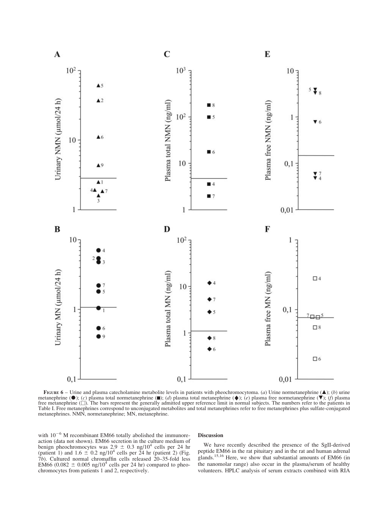

FIGURE  $6$  – Urine and plasma catecholamine metabolite levels in patients with pheochromocytoma. (a) Urine normetanephrine  $(\triangle)$ ; (b) urine metanephrine ( $\bullet$ ); (c) plasma total normetanephrine ( $\bullet$ ); (d) plasma total metanephrine ( $\bullet$ ); (e) plasma free normetanephrine ( $\bullet$ ); (f) plasma free metanephrine ( $\square$ ). The bars represent the generally admitted upper reference limit in normal subjects. The numbers refer to the patients in Table I. Free metanephrines correspond to unconjugated metabolites and total metanephrines refer to free metanephrines plus sulfate-conjugated metanephrines. NMN, normetanephrine; MN, metanephrine.

with  $10^{-6}$  M recombinant EM66 totally abolished the immunoreaction (data not shown). EM66 secretion in the culture medium of benign pheochromocytes was  $2.9 \pm 0.3$  ng/10<sup>4</sup> cells per 24 hr (patient 1) and  $1.6 \pm 0.2$  ng/10<sup>4</sup> cells per 24 hr (patient 2) (Fig. (patient 1) and  $1.6 \pm 0.2$  ng/ $10^4$  cells per 24 hr (patient 2) (Fig. 7b). Cultured normal chromaffin cells released 20–35-fold less 7b). Cultured normal chromaffin cells released 20–35-fold less<br>EM66 (0.082  $\pm$  0.005 ng/10<sup>4</sup> cells per 24 hr) compared to pheo-<br>chromocytes from patients 1 and 2, respectively. chromocytes from patients 1 and 2, respectively.

### Discussion

We have recently described the presence of the SgII-derived peptide EM66 in the rat pituitary and in the rat and human adrenal glands.<sup>15,16</sup> Here, we show that substantial amounts of EM66 (in the nanomolar range) also occur in the plasma/serum of healthy volunteers. HPLC analysis of serum extracts combined with RIA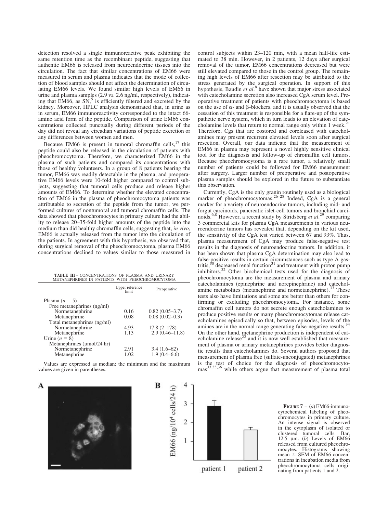detection resolved a single immunoreactive peak exhibiting the same retention time as the recombinant peptide, suggesting that authentic EM66 is released from neuroendocrine tissues into the circulation. The fact that similar concentrations of EM66 were measured in serum and plasma indicates that the mode of collection of blood samples should not affect the determination of circulating EM66 levels. We found similar high levels of EM66 in urine and plasma samples (2.9 vs. 2.6 ng/ml, respectively), indicating that  $\widehat{EM66}$ , as  $\widehat{SN}$ ,<sup>5</sup> is efficiently filtered and excreted by the kidney. Moreover, HPLC analysis demonstrated that, in urine as in serum, EM66 immunoreactivity corresponded to the intact 66 amino acid form of the peptide. Comparison of urine EM66 concentrations collected punctually during different periods of the day did not reveal any circadian variations of peptide excretion or any differences between women and men.

Because EM66 is present in tumoral chromaffin cells, $17$  this peptide could also be released in the circulation of patients with pheochromocytoma. Therefore, we characterized EM66 in the plasma of such patients and compared its concentrations with those of healthy volunteers. In a group of 8 patients bearing the tumor, EM66 was readily detectable in the plasma, and preoperative EM66 levels were 10-fold higher compared to control subjects, suggesting that tumoral cells produce and release higher amounts of EM66. To determine whether the elevated concentration of EM66 in the plasma of pheochromocytoma patients was attributable to secretion of the peptide from the tumor, we performed cultures of nontumoral and tumoral chromaffin cells. The data showed that pheochromocytes in primary culture had the ability to release 20–35-fold higher amounts of the peptide into the medium than did healthy chromaffin cells, suggesting that, in vivo, EM66 is actually released from the tumor into the circulation of the patients. In agreement with this hypothesis, we observed that, during surgical removal of the pheochromocytoma, plasma EM66 concentrations declined to values similar to those measured in

| <b>TABLE III - CONCENTRATIONS OF PLASMA AND URINARY</b> |  |  |  |  |
|---------------------------------------------------------|--|--|--|--|
| METANEPHRINES IN PATIENTS WITH PHEOCHROMOCYTOMA         |  |  |  |  |

|                                                | Upper reference<br>limit | Preoperative       |  |  |  |  |
|------------------------------------------------|--------------------------|--------------------|--|--|--|--|
| Plasma $(n = 5)$                               |                          |                    |  |  |  |  |
| Free metanephrines (ng/ml)                     |                          |                    |  |  |  |  |
| Normetanephrine                                | 0.16                     | $0.82(0.05-3.7)$   |  |  |  |  |
| Metanephrine                                   | 0.08                     | $0.08(0.02-0.3)$   |  |  |  |  |
| Total metanephrines (ng/ml)                    |                          |                    |  |  |  |  |
| Normetanephrine                                | 4.93                     | $17.8(2 - 178)$    |  |  |  |  |
| Metanephrine                                   | 1.13                     | $2.9(0.46 - 11.8)$ |  |  |  |  |
| Urine $(n = 8)$                                |                          |                    |  |  |  |  |
| Metanephrines $(\mu \text{mol}/24 \text{ hr})$ |                          |                    |  |  |  |  |
| Normetanephrine                                | 2.91                     | $3.4(1.6-62)$      |  |  |  |  |
| Metanephrine                                   | 1.02                     | 1.9(0.4–6.6)       |  |  |  |  |
|                                                |                          |                    |  |  |  |  |

Values are expressed as median; the minimum and the maximum values are given in parentheses.





control subjects within 23–120 min, with a mean half-life estimated to 38 min. However, in 2 patients, 12 days after surgical removal of the tumor, EM66 concentrations decreased but were still elevated compared to those in the control group. The remaining high levels of EM66 after resection may be attributed to the stress generated by the surgical operation. In support of this hypothesis, Baudin et  $al$ <sup>8</sup> have shown that major stress associated with catecholamine secretion also increased CgA serum level. Preoperative treatment of patients with pheochromocytoma is based on the use of  $\alpha$ - and  $\beta$ -blockers, and it is usually observed that the cessation of this treatment is responsible for a flare-up of the sympathetic nerve system, which in turn leads to an elevation of cate-<br>cholamine levels that return to normal range only within 1 week.<sup>21</sup> Therefore, Cgs that are costored and coreleased with catecholamines may present recurrent elevated levels soon after surgical resection. Overall, our data indicate that the measurement of EM66 in plasma may represent a novel highly sensitive clinical tool for the diagnosis and follow-up of chromaffin cell tumors. Because pheochromocytoma is a rare tumor, a relatively small number of patients could be followed for EM66 measurement after surgery. Larger number of preoperative and postoperative plasma samples should be explored in the future to substantiate this observation.

Currently, CgA is the only granin routinely used as a biological marker of pheochromocytomas.<sup>26–28</sup> Indeed, CgA is a general marker for a variety of neuroendocrine tumors, including mid- and forgut carcinoids, pancreatic islet-cell tumors and bronchial carcinoids.<sup>6,8</sup> However, a recent study by Stridsberg et al.<sup>29</sup> comparing 3 commercial kits for plasma CgA measurements in various neuroendocrine tumors has revealed that, depending on the kit used, the sensitivity of the CgA test varied between 67 and 93%. Thus, plasma measurement of CgA may produce false-negative test results in the diagnosis of neuroendocrine tumors. In addition, it has been shown that plasma CgA determination may also lead to false-positive results in certain circumstances such as type A gas-<br>tritis,<sup>30</sup> decreased renal function<sup>31</sup> and treatment with proton pump inhibitors.<sup>32</sup> Other biochemical tests used for the diagnosis of pheochromocytoma are the measurement of plasma and urinary catecholamines (epinephrine and norepinephrine) and catecholamine metabolites (metanephrine and normetanephrine).<sup>33</sup> These tests also have limitations and some are better than others for confirming or excluding pheochromocytoma. For instance, some chromaffin cell tumors do not secrete enough catecholamines to produce positive results or many pheochromocytomas release catecholamines episodically so that, between episodes, levels of the amines are in the normal range generating false-negative results.<sup>3</sup> On the other hand, metanephrine production is independent of catecholamine release<sup>22</sup> and it is now well established that measurement of plasma or urinary metanephrines provides better diagnostic results than catecholamines do. Several authors proposed that measurement of plasma free (sulfate-unconjugated) metanephrines is the test of choice for the diagnosis of pheochromocyto-<br>mas<sup>33,35,36</sup> while others argue that measurement of plasma total

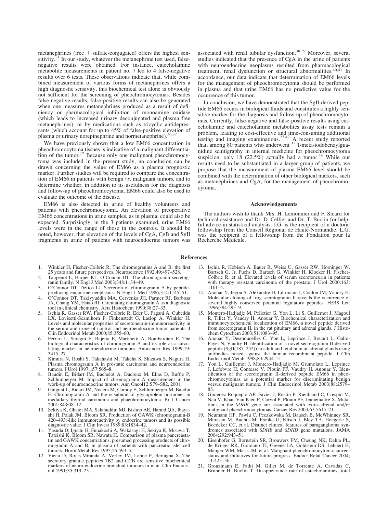metanephrines (free  $+$  sulfate-conjugated) offers the highest sensitivity.<sup>21</sup> In our study, whatever the metanephrine test used, falsenegative results were obtained. For instance, catecholamine metabolite measurements in patient no. 7 led to 4 false-negative results over 6 tests. These observations indicate that, while combined measurement of various forms of metanephrines offers a high diagnostic sensivity, this biochemical test alone is obviously not sufficient for the screening of pheochromocytomas. Besides false-negative results, false-positive results can also be generated when one measures metanephrines produced as a result of deficiency or pharmacological inhibition of monoamine oxidase (which leads to increased urinary deconjugated and plasma free metanephrines), or by medications such as tricyclic antidepressants (which account for up to 45% of false-positive elevation of plasma or urinary norepinephrine and normetanephrine).<sup>3</sup>

We have previously shown that a low EM66 concentration in pheochromocytoma tissues is indicative of a malignant differentiation of the tumor.<sup>17</sup> Because only one malignant pheochromocytoma was included in the present study, no conclusion can be drawn concerning the value of EM66 as a plasma prognostic marker. Further studies will be required to compare the concentration of EM66 in patients with benign vs. malignant tumors, and to determine whether, in addition to its usefulness for the diagnosis and follow-up of pheochromocytoma, EM66 could also be used to evaluate the outcome of the disease.

EM66 is also detected in urine of healthy volunteers and patients with pheochromocytoma. An elevation of preoperative EM66 concentrations in urine samples, as in plasma, could also be expected. Surprisingly, in the 3 patients examined, urine EM66 levels were in the range of those in the controls. It should be noted, however, that elevation of the levels of CgA, CgB and SgII fragments in urine of patients with neuroendocrine tumors was associated with renal tubular dysfunction.<sup>38,39</sup> Moreover, several studies indicated that the presence of CgA in the urine of patients with neuroendocrine neoplasms resulted from pharmacological treatment, renal dysfunction or structural abnormalities.40,41 In accordance, our data indicate that determination of EM66 levels for the management of pheochromocytoma should be performed in plasma and that urine EM66 has no predictive value for the occurrence of this tumor.

In conclusion, we have demonstrated that the SgII-derived peptide EM66 occurs in biological fluids and constitutes a highly sensitive marker for the diagnosis and follow-up of pheochromocytomas. Currently, false-negative and false-positive results using catecholamine and catecholamine metabolites assay tests remain a problem, leading to cost-effective and time-consuming additional testing and imaging examinations.<sup>23,42</sup> A recent study reported that, among 80 patients who underwent <sup>123</sup>I-meta-iodobenzylguanidine scintigraphy in internal medicine for pheochromocytoma suspicion, only 18  $(22.5\%)$  actually had a tumor.<sup>43</sup> While our results need to be substantiated in a larger group of patients, we propose that the measurement of plasma EM66 level should be combined with the determination of other biological markers, such as metanephrines and CgA, for the management of pheochromocytoma.

#### Acknowledgements

The authors wish to thank Mrs. H. Lemonnier and F. Sicard for technical assistance and Dr. D. Cellier and Dr. T. Buclin for helpful advice in statistical analysis. J.G. is the recipient of a doctoral fellowship from the Conseil Regional de Haute-Normandie. L.G. was the recipient of a fellowship from the Fondation pour la Recherche Médicale.

#### References

- 1. Winkler H, Fischer-Colbrie R. The chromogranins A and B: the first 25 years and future perspectives. Neuroscience 1992;49:497–528.
- 2. Taupenot L, Harper KL, O'Connor DT. The chromogranin-secretog-ranin family. N Engl J Med 2003;348:1134–49.
- 3. O'Connor DT, Deftos LJ. Secretion of chromogranin A by peptideproducing endocrine neoplasms. N Engl J Med 1986;314:1145-51.
- 4. O'Connor DT, Takiyyuddin MA, Cervenka JH, Parmer RJ, Barbosa JA, Chang YM, Hsiao RJ. Circulating chromogranin A as a diagnostic tool in clinical chemistry. Acta Histochem 1990;38:27–33.
- 5. Ischia R, Gasser RW, Fischer-Colbrie R, Eder U, Pagani A, Cubeddu LX, Lovisetti-Scamihorn P, Finkenstedt G, Laslop A, Winkler H. Levels and molecular properties of secretoneurin-immunoreactivity in the serum and urine of control and neuroendocrine tumor patients. J Clin Endocrinol Metab 2000;85:355–60.
- 6. Ferrari L, Seregni E, Bajetta E, Martinetti A, Bombardieri E. The biological characteristics of chromogranin A and its role as a circulating marker in neuroendocrine tumours. Anticancer Res 1999;19: 3415–27.
- 7. Kimura N, Hoshi S, Takahashi M, Takeha S, Shizawa S, Nagura H. Plasma chromogranin A in prostatic carcinoma and neuroendocrine tumors. J Urol 1997;157:565–8.
- 8. Baudin E, Bidart JM, Bachelot A, Ducreux M, Elias D, Ruffie P, Schlumberger M. Impact of chromogranin A measurement in the work-up of neuroendocrine tumors. Ann Oncol12:S79–S82, 2001.
- 9. Guignat L, Bidart JM, Nocera M, Comoy E, Schlumberger M, Baudin E. Chromogranin A and the  $\alpha$ -subunit of glycoprotein hormones in medullary thyroid carcinoma and phaeohromocytoma. Br J Cancer 2001;84:808–12.
- 10. Sekiya K, Ghatei MA, Salahuddin MJ, Bishop AE, Hamid QA, Ibayashi H, Polak JM, Bloom SR. Production of GAWK (chromogranin-B 420–493)-like immunoreactivity by endocrine tumors and its possible diagnostic value. J Clin Invest 1989;83:1834–42.
- 11. Yasuda D, Iguchi H, Funakoshi A, Wakasugi H, Sekiya K, Misawa T, Tateishi K, Bloom SR, Nawata H. Comparison of plasma pancreastatin and GAWK concentrations, presumed processing products of chromogranin A and B, in plasma of patients with pancreatic islet cell tumors. Horm Metab Res 1993;25:593–5.
- 12. Vieau D, Rojas-Miranda A, Verley JM, Lenne F, Bertagna X. The secretory granule peptides 7B2 and CCB are sensitive biochemical markers of neuro-endocrine bronchial tumours in man. Clin Endocrinol 1991;35:319–25.
- 13. Ischia R, Hobisch A, Bauer R, Weiss U, Gasser RW, Horninger W, Bartsch G, Jr, Fuchs D, Bartsch G, Winkler H, Klocker H, Fischer-Colbrie R, et al. Elevated levels of serum secretoneurin in patients with therapy resistant carcinoma of the prostate. J Urol 2000;163: 1161–4.
- 14. Anouar Y, Jegou S, Alexandre D, Lihrmann I, Conlon JM, Vaudry H. Molecular cloning of frog secretogranin II reveals the occurrence of several highly conserved potential regulatory peptides. FEBS Lett 1996;394:295–9.
- 15. Montero-Hadjadje M, Pelletier G, Yon L, Li S, Guillemot J, Magoul R, Tillet Y, Vaudry H, Anouar Y. Biochemical characterization and immunocytochemical localization of EM66, a novel peptide derived from secretogranin II, in the rat pituitary and adrenal glands. J Histochem Cytochem 2003;51:1083–95.
- 16. Anouar Y, Desmoucelles C, Yon L, Leprince J, Breault L, Gallo-Payet N, Vaudry H. Identification of a novel secretogranin II-derived peptide (SgII(187–252)) in adult and fetal human adrenal glands using antibodies raised against the human recombinant peptide. J Clin Endocrinol Metab 1998;83:2944–51.
- 17. Yon L, Guillemot J, Montero-Hadjadje M, Grumolato L, Leprince J, Lefebvre H, Contesse V, Plouin PF, Vaudry H, Anouar Y. Identification of the secretogranin II-derived peptide EM66 in pheochromocytomas as a potential marker for discriminating benign versus malignant tumors. J Clin Endocrinol Metab 2003;88:2579-85.
- 18. Gimenez-Roqueplo AP, Favier J, Rustin P, Rieubland C, Crespin M, Nau V, Khau Van Kien P, Corvol P, Plouin PF, Jeunemaitre X. Mutations in the SDHB gene are associated with extra-adrenal and/or malignant phaechromocytomas. Cancer Res 2003;63:5615–21.
- 19. Neumann HP, Pawlu C, Peczkowska M, Bausch B, McWhinney SR, Muresan M, Buchta M, Franke G, Klisch J, Bley TA, Hoegerle S, Boedeker CC, et al. Distinct clinical features of paraganglioma syndromes associated with SDHB and SDHD gene mutations. JAMA 2004;292:943–51.
- 20. Eisenhofer G, Bornstein SR, Brouwers FM, Cheung NK, Dahia PL, de Krijger RR, Giordano TJ, Greene LA, Goldstein DS, Lehnert H, Manger WM, Maris JM, et al. Malignant pheochromocytoma: current status and initiatives for future progress. Endocr Relat Cancer 2004;  $11.423 - 36$
- 21. Grouzmann E, Fathi M, Gillet M, de Torrente A, Cavadas C, Brunner H, Buclin T. Disappearance rate of catecholamines, total